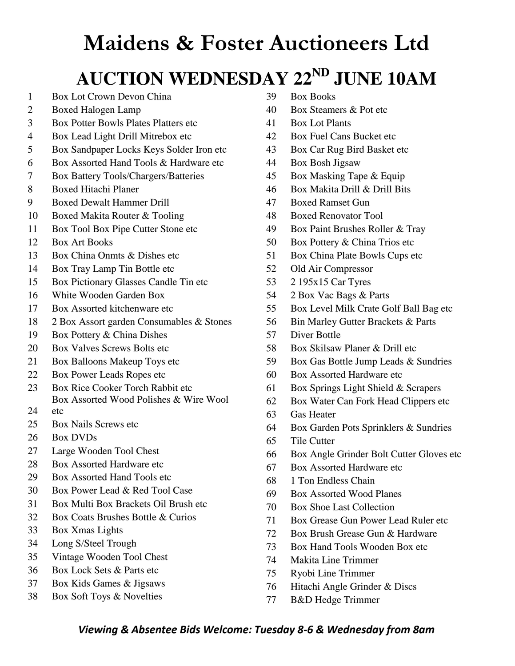#### $\boldsymbol{\mathrm{AUCTION}}$  **WEDNESDAY** 22<sup>ND</sup> JUNE 10AM

- Box Lot Crown Devon China
- Boxed Halogen Lamp
- Box Potter Bowls Plates Platters etc
- Box Lead Light Drill Mitrebox etc
- Box Sandpaper Locks Keys Solder Iron etc
- Box Assorted Hand Tools & Hardware etc
- Box Battery Tools/Chargers/Batteries
- Boxed Hitachi Planer
- Boxed Dewalt Hammer Drill
- Boxed Makita Router & Tooling
- Box Tool Box Pipe Cutter Stone etc
- Box Art Books
- Box China Onmts & Dishes etc
- Box Tray Lamp Tin Bottle etc
- Box Pictionary Glasses Candle Tin etc
- White Wooden Garden Box
- Box Assorted kitchenware etc
- 2 Box Assort garden Consumables & Stones
- Box Pottery & China Dishes
- Box Valves Screws Bolts etc
- Box Balloons Makeup Toys etc
- Box Power Leads Ropes etc
- 23 Box Rice Cooker Torch Rabbit etc Box Assorted Wood Polishes & Wire Wool
- etc
- Box Nails Screws etc
- Box DVDs
- Large Wooden Tool Chest
- 28 Box Assorted Hardware etc
- Box Assorted Hand Tools etc
- Box Power Lead & Red Tool Case
- Box Multi Box Brackets Oil Brush etc
- Box Coats Brushes Bottle & Curios
- Box Xmas Lights
- Long S/Steel Trough
- Vintage Wooden Tool Chest
- Box Lock Sets & Parts etc
- Box Kids Games & Jigsaws
- Box Soft Toys & Novelties
- Box Books
- Box Steamers & Pot etc
- Box Lot Plants
- Box Fuel Cans Bucket etc
- Box Car Rug Bird Basket etc
- Box Bosh Jigsaw
- Box Masking Tape & Equip
- Box Makita Drill & Drill Bits
- Boxed Ramset Gun
- Boxed Renovator Tool
- Box Paint Brushes Roller & Tray
- Box Pottery & China Trios etc
- Box China Plate Bowls Cups etc
- Old Air Compressor
- 2 195x15 Car Tyres
- 2 Box Vac Bags & Parts
- Box Level Milk Crate Golf Ball Bag etc
- Bin Marley Gutter Brackets & Parts
- Diver Bottle
- Box Skilsaw Planer & Drill etc
- Box Gas Bottle Jump Leads & Sundries
- Box Assorted Hardware etc
- Box Springs Light Shield & Scrapers
- Box Water Can Fork Head Clippers etc
- Gas Heater
- Box Garden Pots Sprinklers & Sundries
- Tile Cutter
- Box Angle Grinder Bolt Cutter Gloves etc
- Box Assorted Hardware etc
- 1 Ton Endless Chain
- Box Assorted Wood Planes
- Box Shoe Last Collection
- Box Grease Gun Power Lead Ruler etc
- Box Brush Grease Gun & Hardware
- Box Hand Tools Wooden Box etc
- Makita Line Trimmer
- Ryobi Line Trimmer
- Hitachi Angle Grinder & Discs
- B&D Hedge Trimmer

#### *Viewing & Absentee Bids Welcome: Tuesday 8-6 & Wednesday from 8am*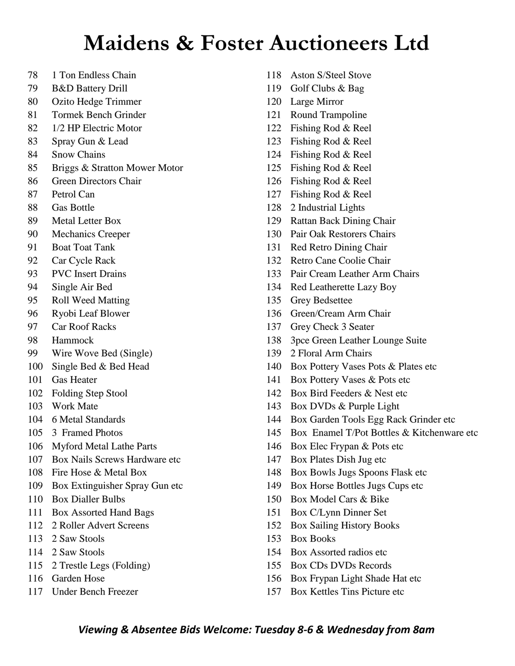- 1 Ton Endless Chain
- B&D Battery Drill
- Ozito Hedge Trimmer
- Tormek Bench Grinder
- 1/2 HP Electric Motor
- Spray Gun & Lead
- Snow Chains
- Briggs & Stratton Mower Motor
- Green Directors Chair
- Petrol Can
- Gas Bottle
- Metal Letter Box
- Mechanics Creeper
- Boat Toat Tank
- Car Cycle Rack
- PVC Insert Drains
- Single Air Bed
- Roll Weed Matting
- Ryobi Leaf Blower
- Car Roof Racks
- Hammock
- Wire Wove Bed (Single)
- Single Bed & Bed Head
- Gas Heater
- Folding Step Stool
- Work Mate
- 6 Metal Standards
- 3 Framed Photos
- Myford Metal Lathe Parts
- Box Nails Screws Hardware etc
- Fire Hose & Metal Box
- Box Extinguisher Spray Gun etc
- Box Dialler Bulbs
- Box Assorted Hand Bags
- 2 Roller Advert Screens
- 2 Saw Stools
- 2 Saw Stools
- 2 Trestle Legs (Folding)
- Garden Hose
- Under Bench Freezer
- Aston S/Steel Stove
- Golf Clubs & Bag
- Large Mirror
- Round Trampoline
- Fishing Rod & Reel
- Fishing Rod & Reel
- Fishing Rod & Reel
- Fishing Rod & Reel
- Fishing Rod & Reel
- Fishing Rod & Reel
- 2 Industrial Lights
- Rattan Back Dining Chair
- Pair Oak Restorers Chairs
- Red Retro Dining Chair
- Retro Cane Coolie Chair
- Pair Cream Leather Arm Chairs
- Red Leatherette Lazy Boy
- Grey Bedsettee
- Green/Cream Arm Chair
- Grey Check 3 Seater
- 3pce Green Leather Lounge Suite
- 2 Floral Arm Chairs
- Box Pottery Vases Pots & Plates etc
- Box Pottery Vases & Pots etc
- Box Bird Feeders & Nest etc
- Box DVDs & Purple Light
- Box Garden Tools Egg Rack Grinder etc
- Box Enamel T/Pot Bottles & Kitchenware etc
- Box Elec Frypan & Pots etc
- Box Plates Dish Jug etc
- Box Bowls Jugs Spoons Flask etc
- Box Horse Bottles Jugs Cups etc
- Box Model Cars & Bike
- Box C/Lynn Dinner Set
- Box Sailing History Books
- Box Books
- Box Assorted radios etc
- Box CDs DVDs Records
- Box Frypan Light Shade Hat etc
- Box Kettles Tins Picture etc

#### *Viewing & Absentee Bids Welcome: Tuesday 8-6 & Wednesday from 8am*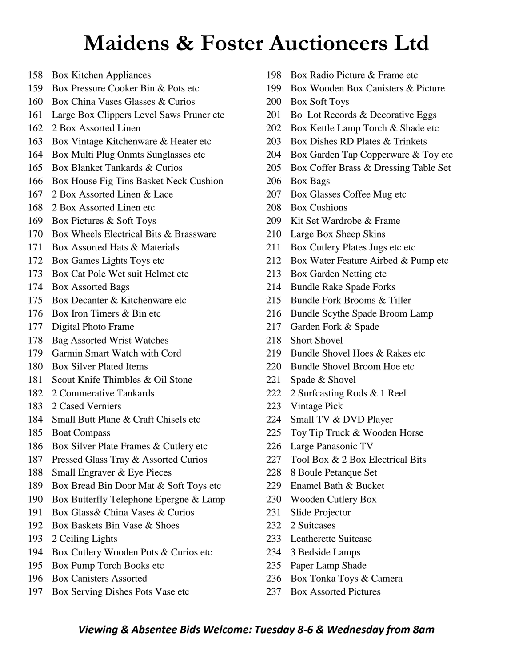- Box Kitchen Appliances
- Box Pressure Cooker Bin & Pots etc
- Box China Vases Glasses & Curios
- Large Box Clippers Level Saws Pruner etc
- 2 Box Assorted Linen
- Box Vintage Kitchenware & Heater etc
- Box Multi Plug Onmts Sunglasses etc
- Box Blanket Tankards & Curios
- Box House Fig Tins Basket Neck Cushion
- 2 Box Assorted Linen & Lace
- 2 Box Assorted Linen etc
- Box Pictures & Soft Toys
- Box Wheels Electrical Bits & Brassware
- Box Assorted Hats & Materials
- Box Games Lights Toys etc
- Box Cat Pole Wet suit Helmet etc
- Box Assorted Bags
- Box Decanter & Kitchenware etc
- Box Iron Timers & Bin etc
- Digital Photo Frame
- Bag Assorted Wrist Watches
- Garmin Smart Watch with Cord
- Box Silver Plated Items
- Scout Knife Thimbles & Oil Stone
- 2 Commerative Tankards
- 2 Cased Verniers
- Small Butt Plane & Craft Chisels etc
- Boat Compass
- Box Silver Plate Frames & Cutlery etc
- Pressed Glass Tray & Assorted Curios
- Small Engraver & Eye Pieces
- Box Bread Bin Door Mat & Soft Toys etc
- Box Butterfly Telephone Epergne & Lamp
- Box Glass& China Vases & Curios
- Box Baskets Bin Vase & Shoes
- 2 Ceiling Lights
- Box Cutlery Wooden Pots & Curios etc
- Box Pump Torch Books etc
- Box Canisters Assorted
- Box Serving Dishes Pots Vase etc
- Box Radio Picture & Frame etc
- Box Wooden Box Canisters & Picture
- Box Soft Toys
- Bo Lot Records & Decorative Eggs
- Box Kettle Lamp Torch & Shade etc
- Box Dishes RD Plates & Trinkets
- Box Garden Tap Copperware & Toy etc
- Box Coffer Brass & Dressing Table Set
- Box Bags
- Box Glasses Coffee Mug etc
- Box Cushions
- Kit Set Wardrobe & Frame
- Large Box Sheep Skins
- 211 Box Cutlery Plates Jugs etc etc
- 212 Box Water Feature Airbed & Pump etc
- Box Garden Netting etc
- Bundle Rake Spade Forks
- Bundle Fork Brooms & Tiller
- Bundle Scythe Spade Broom Lamp
- Garden Fork & Spade
- Short Shovel
- 219 Bundle Shovel Hoes & Rakes etc.
- Bundle Shovel Broom Hoe etc
- Spade & Shovel
- 2 Surfcasting Rods & 1 Reel
- Vintage Pick
- Small TV & DVD Player
- Toy Tip Truck & Wooden Horse
- Large Panasonic TV
- 227 Tool Box & 2 Box Electrical Bits
- 8 Boule Petanque Set
- Enamel Bath & Bucket
- Wooden Cutlery Box
- Slide Projector
- 2 Suitcases
- Leatherette Suitcase
- 3 Bedside Lamps
- Paper Lamp Shade
- Box Tonka Toys & Camera
- Box Assorted Pictures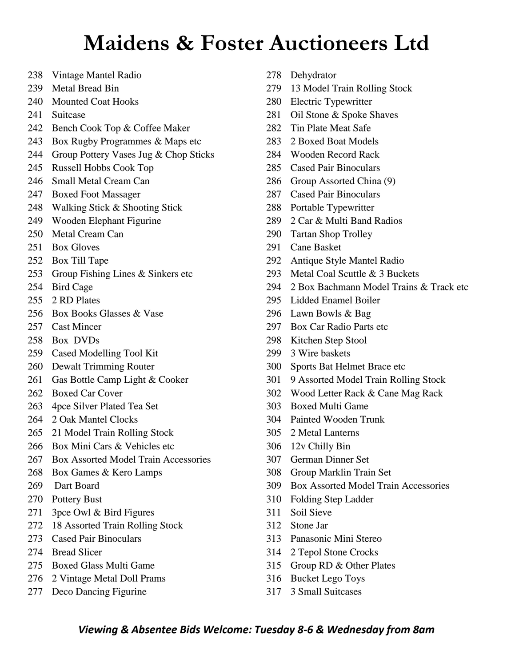- Vintage Mantel Radio
- Metal Bread Bin
- Mounted Coat Hooks
- Suitcase
- Bench Cook Top & Coffee Maker
- Box Rugby Programmes & Maps etc
- Group Pottery Vases Jug & Chop Sticks
- Russell Hobbs Cook Top
- Small Metal Cream Can
- Boxed Foot Massager
- Walking Stick & Shooting Stick
- Wooden Elephant Figurine
- Metal Cream Can
- Box Gloves
- Box Till Tape
- Group Fishing Lines & Sinkers etc
- Bird Cage
- 2 RD Plates
- Box Books Glasses & Vase
- Cast Mincer
- Box DVDs
- Cased Modelling Tool Kit
- Dewalt Trimming Router
- Gas Bottle Camp Light & Cooker
- Boxed Car Cover
- 4pce Silver Plated Tea Set
- 2 Oak Mantel Clocks
- 21 Model Train Rolling Stock
- Box Mini Cars & Vehicles etc
- Box Assorted Model Train Accessories
- Box Games & Kero Lamps
- Dart Board
- Pottery Bust
- 3pce Owl & Bird Figures
- 18 Assorted Train Rolling Stock
- Cased Pair Binoculars
- Bread Slicer
- Boxed Glass Multi Game
- 2 Vintage Metal Doll Prams
- Deco Dancing Figurine
- Dehydrator
- 13 Model Train Rolling Stock
- Electric Typewritter
- Oil Stone & Spoke Shaves
- Tin Plate Meat Safe
- 2 Boxed Boat Models
- Wooden Record Rack
- Cased Pair Binoculars
- Group Assorted China (9)
- Cased Pair Binoculars
- Portable Typewritter
- 2 Car & Multi Band Radios
- Tartan Shop Trolley
- Cane Basket
- Antique Style Mantel Radio
- Metal Coal Scuttle & 3 Buckets
- 2 Box Bachmann Model Trains & Track etc
- Lidded Enamel Boiler
- Lawn Bowls & Bag
- Box Car Radio Parts etc
- Kitchen Step Stool
- 3 Wire baskets
- Sports Bat Helmet Brace etc
- 9 Assorted Model Train Rolling Stock
- Wood Letter Rack & Cane Mag Rack
- Boxed Multi Game
- Painted Wooden Trunk
- 2 Metal Lanterns
- 12v Chilly Bin
- German Dinner Set
- Group Marklin Train Set
- Box Assorted Model Train Accessories
- Folding Step Ladder
- Soil Sieve
- Stone Jar
- Panasonic Mini Stereo
- 2 Tepol Stone Crocks
- Group RD & Other Plates
- Bucket Lego Toys
- 3 Small Suitcases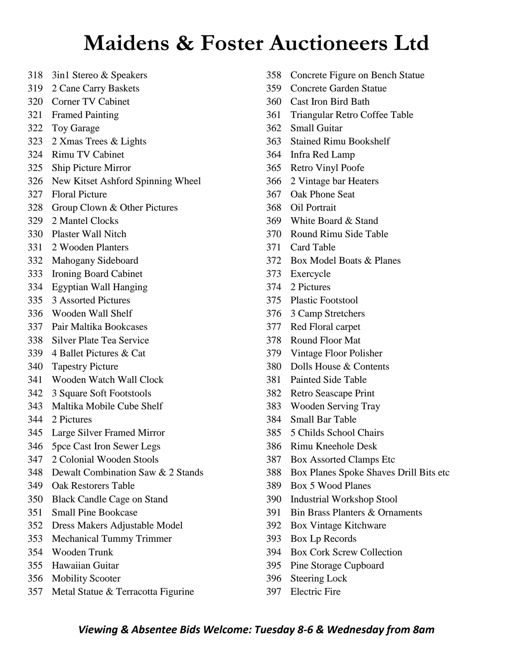- 3in1 Stereo & Speakers
- 2 Cane Carry Baskets
- Corner TV Cabinet
- Framed Painting
- Toy Garage
- 2 Xmas Trees & Lights
- Rimu TV Cabinet
- Ship Picture Mirror
- New Kitset Ashford Spinning Wheel
- Floral Picture
- Group Clown & Other Pictures
- 2 Mantel Clocks
- Plaster Wall Nitch
- 2 Wooden Planters
- Mahogany Sideboard
- Ironing Board Cabinet
- Egyptian Wall Hanging
- 3 Assorted Pictures
- Wooden Wall Shelf
- Pair Maltika Bookcases
- Silver Plate Tea Service
- 4 Ballet Pictures & Cat
- Tapestry Picture
- Wooden Watch Wall Clock
- 3 Square Soft Footstools
- Maltika Mobile Cube Shelf
- 2 Pictures
- Large Silver Framed Mirror
- 5pce Cast Iron Sewer Legs
- 2 Colonial Wooden Stools
- Dewalt Combination Saw & 2 Stands
- Oak Restorers Table
- Black Candle Cage on Stand
- Small Pine Bookcase
- Dress Makers Adjustable Model
- Mechanical Tummy Trimmer
- Wooden Trunk
- Hawaiian Guitar
- Mobility Scooter
- Metal Statue & Terracotta Figurine
- Concrete Figure on Bench Statue
- Concrete Garden Statue
- Cast Iron Bird Bath
- Triangular Retro Coffee Table
- Small Guitar
- Stained Rimu Bookshelf
- Infra Red Lamp
- Retro Vinyl Poofe
- 2 Vintage bar Heaters
- Oak Phone Seat
- Oil Portrait
- White Board & Stand
- Round Rimu Side Table
- Card Table
- Box Model Boats & Planes
- Exercycle
- 2 Pictures
- Plastic Footstool
- 3 Camp Stretchers
- Red Floral carpet
- Round Floor Mat
- Vintage Floor Polisher
- Dolls House & Contents
- Painted Side Table
- Retro Seascape Print
- Wooden Serving Tray
- Small Bar Table
- 5 Childs School Chairs
- Rimu Kneehole Desk
- Box Assorted Clamps Etc
- Box Planes Spoke Shaves Drill Bits etc
- Box 5 Wood Planes
- Industrial Workshop Stool
- Bin Brass Planters & Ornaments
- Box Vintage Kitchware
- Box Lp Records
- Box Cork Screw Collection
- Pine Storage Cupboard
- Steering Lock
- Electric Fire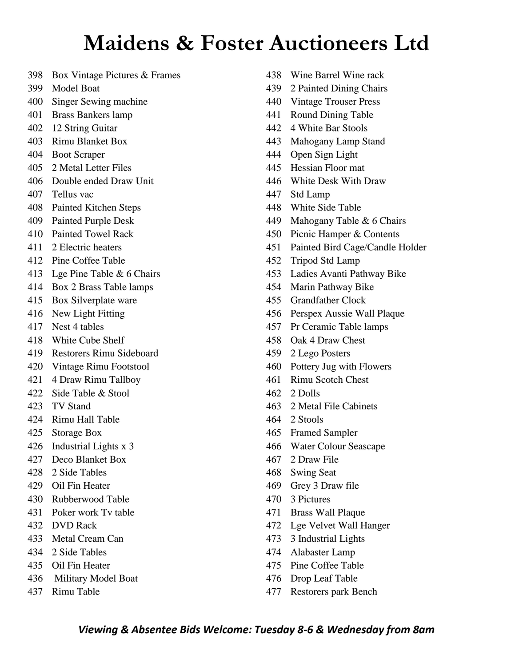- Box Vintage Pictures & Frames
- Model Boat
- Singer Sewing machine
- Brass Bankers lamp
- 12 String Guitar
- Rimu Blanket Box
- Boot Scraper
- 2 Metal Letter Files
- Double ended Draw Unit
- Tellus vac
- Painted Kitchen Steps
- Painted Purple Desk
- Painted Towel Rack
- 2 Electric heaters
- Pine Coffee Table
- Lge Pine Table & 6 Chairs
- Box 2 Brass Table lamps
- Box Silverplate ware
- New Light Fitting
- Nest 4 tables
- White Cube Shelf
- Restorers Rimu Sideboard
- Vintage Rimu Footstool
- 4 Draw Rimu Tallboy
- Side Table & Stool
- TV Stand
- Rimu Hall Table
- Storage Box
- Industrial Lights x 3
- Deco Blanket Box
- 2 Side Tables
- Oil Fin Heater
- Rubberwood Table
- Poker work Tv table
- DVD Rack
- Metal Cream Can
- 2 Side Tables
- Oil Fin Heater
- Military Model Boat
- Rimu Table
- Wine Barrel Wine rack
- 2 Painted Dining Chairs
- Vintage Trouser Press
- Round Dining Table
- 4 White Bar Stools
- Mahogany Lamp Stand
- Open Sign Light
- Hessian Floor mat
- White Desk With Draw
- Std Lamp
- White Side Table
- Mahogany Table & 6 Chairs
- Picnic Hamper & Contents
- Painted Bird Cage/Candle Holder
- Tripod Std Lamp
- Ladies Avanti Pathway Bike
- Marin Pathway Bike
- Grandfather Clock
- Perspex Aussie Wall Plaque
- Pr Ceramic Table lamps
- Oak 4 Draw Chest
- 2 Lego Posters
- Pottery Jug with Flowers
- Rimu Scotch Chest
- 2 Dolls
- 2 Metal File Cabinets
- 2 Stools
- Framed Sampler
- Water Colour Seascape
- 2 Draw File
- Swing Seat
- Grey 3 Draw file
- 3 Pictures
- Brass Wall Plaque
- Lge Velvet Wall Hanger
- 3 Industrial Lights
- Alabaster Lamp
- Pine Coffee Table
- Drop Leaf Table
- Restorers park Bench